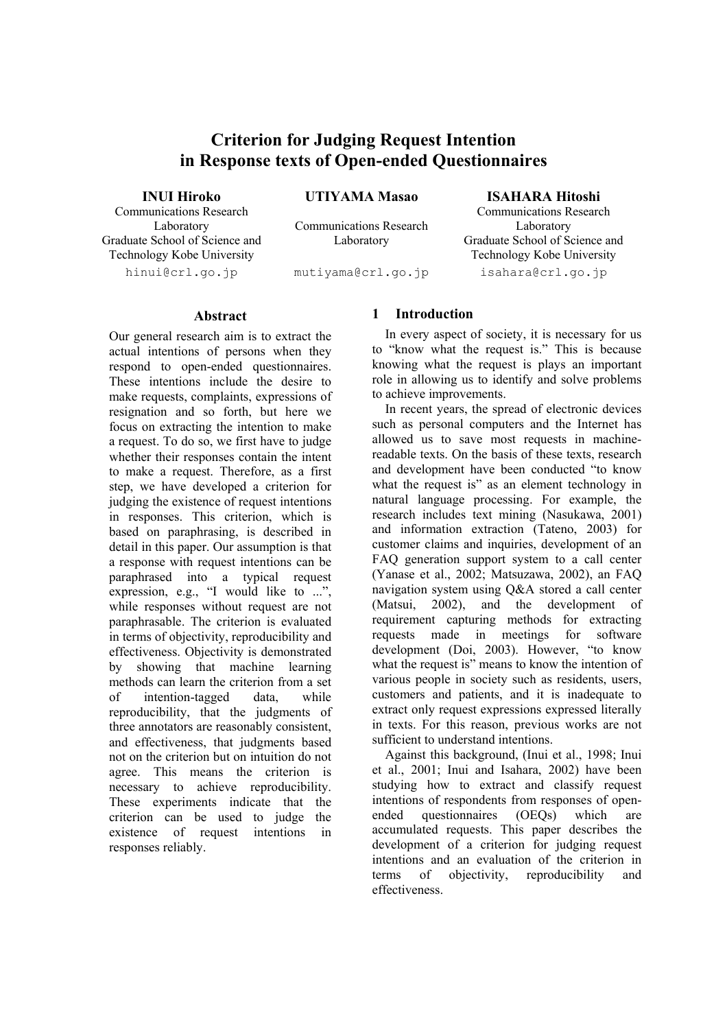## **Criterion for Judging Request Intention in Response texts of Open-ended Questionnaires**

**INUI Hiroko** 

Communications Research Laboratory Graduate School of Science and Technology Kobe University hinui@crl.go.jp

**UTIYAMA Masao** 

Communications Research Laboratory

mutiyama@crl.go.jp

**ISAHARA Hitoshi** 

Communications Research Laboratory Graduate School of Science and Technology Kobe University isahara@crl.go.jp

#### **Abstract**

Our general research aim is to extract the actual intentions of persons when they respond to open-ended questionnaires. These intentions include the desire to make requests, complaints, expressions of resignation and so forth, but here we focus on extracting the intention to make a request. To do so, we first have to judge whether their responses contain the intent to make a request. Therefore, as a first step, we have developed a criterion for judging the existence of request intentions in responses. This criterion, which is based on paraphrasing, is described in detail in this paper. Our assumption is that a response with request intentions can be paraphrased into a typical request expression, e.g., "I would like to ...", while responses without request are not paraphrasable. The criterion is evaluated in terms of objectivity, reproducibility and effectiveness. Objectivity is demonstrated by showing that machine learning methods can learn the criterion from a set of intention-tagged data, while reproducibility, that the judgments of three annotators are reasonably consistent, and effectiveness, that judgments based not on the criterion but on intuition do not agree. This means the criterion is necessary to achieve reproducibility. These experiments indicate that the criterion can be used to judge the existence of request intentions in responses reliably.

### **1 Introduction**

In every aspect of society, it is necessary for us to "know what the request is." This is because knowing what the request is plays an important role in allowing us to identify and solve problems to achieve improvements.

In recent years, the spread of electronic devices such as personal computers and the Internet has allowed us to save most requests in machinereadable texts. On the basis of these texts, research and development have been conducted "to know what the request is" as an element technology in natural language processing. For example, the research includes text mining (Nasukawa, 2001) and information extraction (Tateno, 2003) for customer claims and inquiries, development of an FAQ generation support system to a call center (Yanase et al., 2002; Matsuzawa, 2002), an FAQ navigation system using Q&A stored a call center (Matsui, 2002), and the development of requirement capturing methods for extracting requests made in meetings for software development (Doi, 2003). However, "to know what the request is" means to know the intention of various people in society such as residents, users, customers and patients, and it is inadequate to extract only request expressions expressed literally in texts. For this reason, previous works are not sufficient to understand intentions.

Against this background, (Inui et al., 1998; Inui et al., 2001; Inui and Isahara, 2002) have been studying how to extract and classify request intentions of respondents from responses of openended questionnaires (OEQs) which are accumulated requests. This paper describes the development of a criterion for judging request intentions and an evaluation of the criterion in terms of objectivity, reproducibility and effectiveness.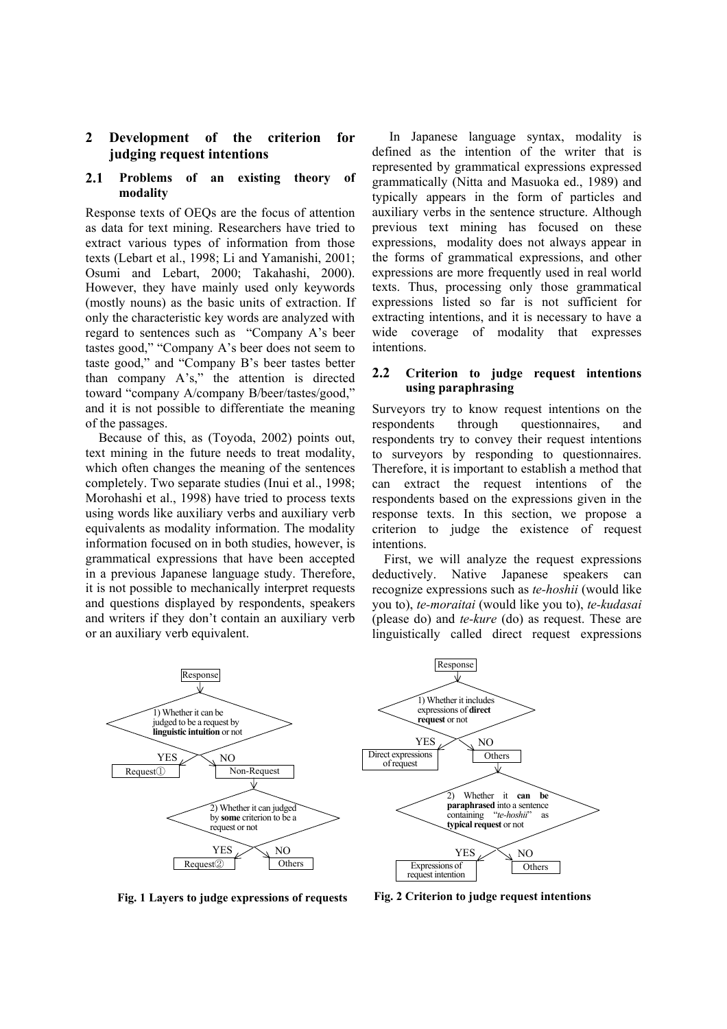#### **2 Development of the criterion for judging request intentions**

#### **2.1 Problems of an existing theory of modality**

Response texts of OEQs are the focus of attention as data for text mining. Researchers have tried to extract various types of information from those texts (Lebart et al., 1998; Li and Yamanishi, 2001; Osumi and Lebart, 2000; Takahashi, 2000). However, they have mainly used only keywords (mostly nouns) as the basic units of extraction. If only the characteristic key words are analyzed with regard to sentences such as "Company A's beer tastes good," "Company A's beer does not seem to taste good," and "Company B's beer tastes better than company A's," the attention is directed toward "company A/company B/beer/tastes/good," and it is not possible to differentiate the meaning of the passages.

Because of this, as (Toyoda, 2002) points out, text mining in the future needs to treat modality, which often changes the meaning of the sentences completely. Two separate studies (Inui et al., 1998; Morohashi et al., 1998) have tried to process texts using words like auxiliary verbs and auxiliary verb equivalents as modality information. The modality information focused on in both studies, however, is grammatical expressions that have been accepted in a previous Japanese language study. Therefore, it is not possible to mechanically interpret requests and questions displayed by respondents, speakers and writers if they don't contain an auxiliary verb or an auxiliary verb equivalent.

In Japanese language syntax, modality is defined as the intention of the writer that is represented by grammatical expressions expressed grammatically (Nitta and Masuoka ed., 1989) and typically appears in the form of particles and auxiliary verbs in the sentence structure. Although previous text mining has focused on these expressions, modality does not always appear in the forms of grammatical expressions, and other expressions are more frequently used in real world texts. Thus, processing only those grammatical expressions listed so far is not sufficient for extracting intentions, and it is necessary to have a wide coverage of modality that expresses intentions.

#### **2.2 Criterion to judge request intentions using paraphrasing**

Surveyors try to know request intentions on the respondents through questionnaires, and respondents try to convey their request intentions to surveyors by responding to questionnaires. Therefore, it is important to establish a method that can extract the request intentions of the respondents based on the expressions given in the response texts. In this section, we propose a criterion to judge the existence of request intentions.

First, we will analyze the request expressions deductively. Native Japanese speakers can recognize expressions such as *te-hoshii* (would like you to), *te-moraitai* (would like you to), *te-kudasai*  (please do) and *te-kure* (do) as request. These are linguistically called direct request expressions



**Fig. 1 Layers to judge expressions of requests** 

**Fig. 2 Criterion to judge request intentions**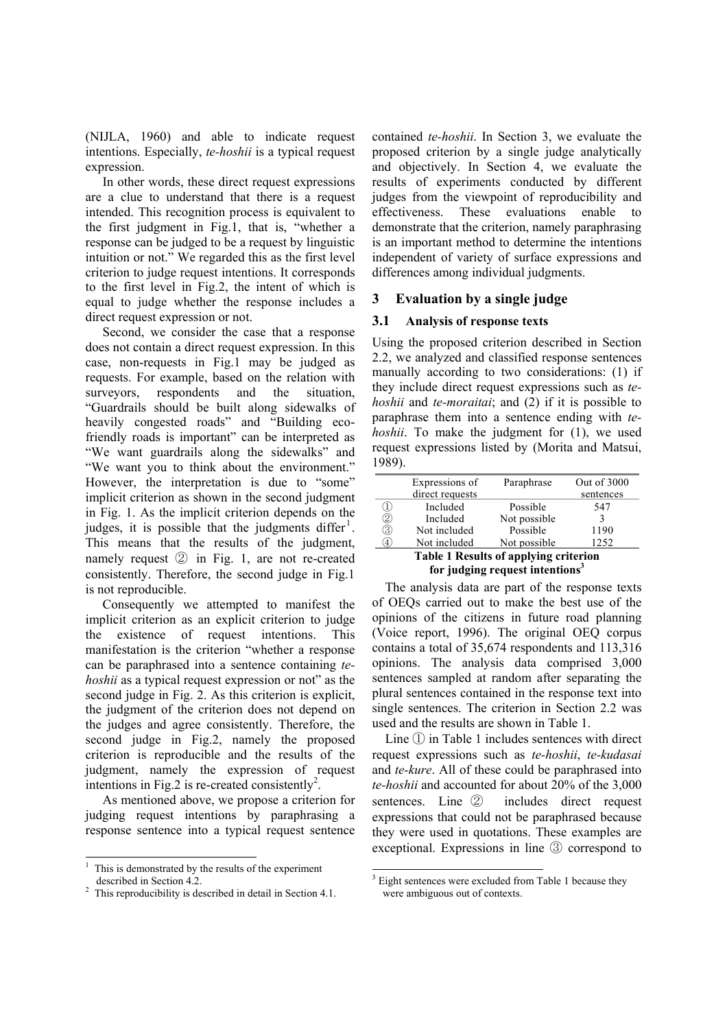(NIJLA, 1960) and able to indicate request intentions. Especially, *te-hoshii* is a typical request expression.

In other words, these direct request expressions are a clue to understand that there is a request intended. This recognition process is equivalent to the first judgment in Fig.1, that is, "whether a response can be judged to be a request by linguistic intuition or not." We regarded this as the first level criterion to judge request intentions. It corresponds to the first level in Fig.2, the intent of which is equal to judge whether the response includes a direct request expression or not.

Second, we consider the case that a response does not contain a direct request expression. In this case, non-requests in Fig.1 may be judged as requests. For example, based on the relation with surveyors, respondents and the situation, "Guardrails should be built along sidewalks of heavily congested roads" and "Building ecofriendly roads is important" can be interpreted as "We want guardrails along the sidewalks" and "We want you to think about the environment." However, the interpretation is due to "some" implicit criterion as shown in the second judgment in Fig. 1. As the implicit criterion depends on the judges, it is possible that the judgments differ<sup>1</sup>. This means that the results of the judgment, namely request ② in Fig. 1, are not re-created consistently. Therefore, the second judge in Fig.1 is not reproducible.

Consequently we attempted to manifest the implicit criterion as an explicit criterion to judge the existence of request intentions. This manifestation is the criterion "whether a response can be paraphrased into a sentence containing *tehoshii* as a typical request expression or not" as the second judge in Fig. 2. As this criterion is explicit, the judgment of the criterion does not depend on the judges and agree consistently. Therefore, the second judge in Fig.2, namely the proposed criterion is reproducible and the results of the judgment, namely the expression of request intentions in Fig.2 is re-created consistently<sup>2</sup>.

As mentioned above, we propose a criterion for judging request intentions by paraphrasing a response sentence into a typical request sentence

 $\overline{a}$ 

contained *te-hoshii*. In Section 3, we evaluate the proposed criterion by a single judge analytically and objectively. In Section 4, we evaluate the results of experiments conducted by different judges from the viewpoint of reproducibility and effectiveness. These evaluations enable to demonstrate that the criterion, namely paraphrasing is an important method to determine the intentions independent of variety of surface expressions and differences among individual judgments.

#### **3 Evaluation by a single judge**

#### **3.1 Analysis of response texts**

Using the proposed criterion described in Section 2.2, we analyzed and classified response sentences manually according to two considerations: (1) if they include direct request expressions such as *tehoshii* and *te-moraitai*; and (2) if it is possible to paraphrase them into a sentence ending with *tehoshii*. To make the judgment for (1), we used request expressions listed by (Morita and Matsui, 1989).

|                                              | Expressions of  | Paraphrase   | Out of 3000 |  |
|----------------------------------------------|-----------------|--------------|-------------|--|
|                                              | direct requests |              | sentences   |  |
|                                              | Included        | Possible     | 547         |  |
| 2                                            | Included        | Not possible |             |  |
| 3                                            | Not included    | Possible     | 1190        |  |
| 4.                                           | Not included    | Not possible | 1252        |  |
| <b>Table 1 Results of applying criterion</b> |                 |              |             |  |

# **for judging request intentions3**

The analysis data are part of the response texts of OEQs carried out to make the best use of the opinions of the citizens in future road planning (Voice report, 1996). The original OEQ corpus contains a total of 35,674 respondents and 113,316 opinions. The analysis data comprised 3,000 sentences sampled at random after separating the plural sentences contained in the response text into single sentences. The criterion in Section 2.2 was used and the results are shown in Table 1.

Line ① in Table 1 includes sentences with direct request expressions such as *te-hoshii*, *te-kudasai* and *te-kure*. All of these could be paraphrased into *te-hoshii* and accounted for about 20% of the 3,000 sentences. Line ② includes direct request expressions that could not be paraphrased because they were used in quotations. These examples are exceptional. Expressions in line ③ correspond to

<sup>1</sup> This is demonstrated by the results of the experiment described in Section 4.2.

 $2$  This reproducibility is described in detail in Section 4.1.

<sup>&</sup>lt;sup>3</sup> Eight sentences were excluded from Table 1 because they were ambiguous out of contexts.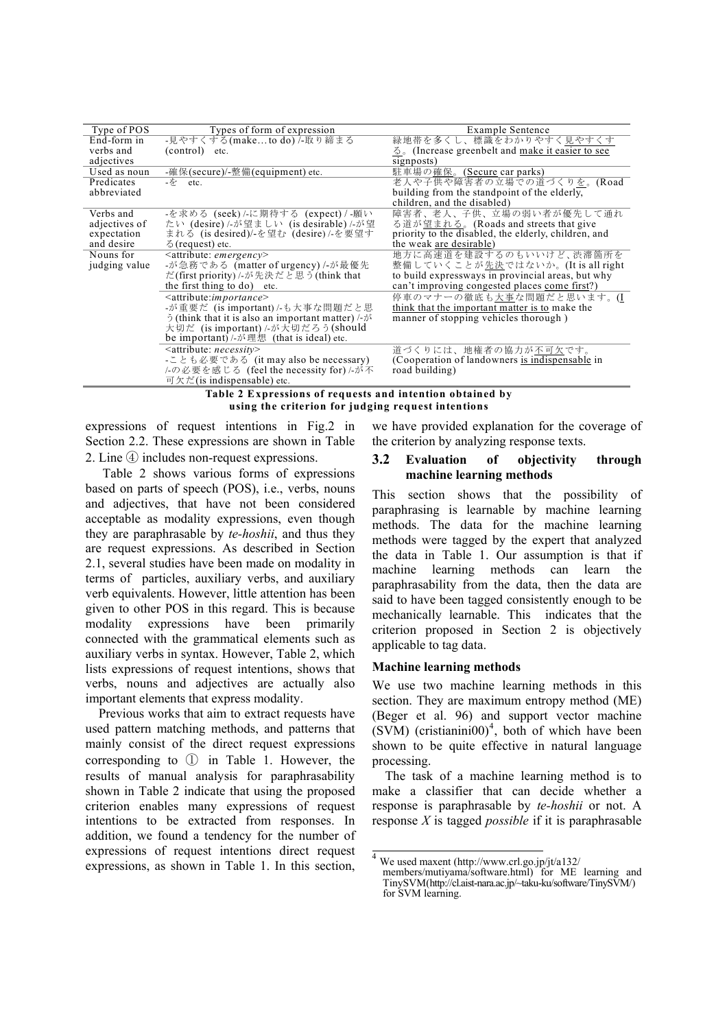| Type of POS   | Types of form of expression                                            | Example Sentence                                     |
|---------------|------------------------------------------------------------------------|------------------------------------------------------|
| End-form in   | -見やすくする(maketo do) /-取り締まる                                             | 緑地帯を多くし、標識をわかりやすく見やすくす                               |
| verbs and     | $(control)$ etc.                                                       | 2. (Increase greenbelt and make it easier to see     |
| adjectives    |                                                                        | signposts)                                           |
| Used as noun  | -確保(secure)/-整備(equipment) etc.                                        | 駐車場の確保。(Secure car parks)                            |
| Predicates    | -を etc.                                                                | 老人や子供や障害者の立場での道づくりを。(Road                            |
| abbreviated   |                                                                        | building from the standpoint of the elderly.         |
|               |                                                                        | children, and the disabled)                          |
| Verbs and     | -を求める (seek)/-に期待する (expect)/-願い                                       | 障害者、老人、子供、立場の弱い者が優先して通れ                              |
| adjectives of | たい (desire)/-が望ましい (is desirable)/-が望                                  | る道が望まれる。(Roads and streets that give                 |
| expectation   | まれる (is desired)/-を望む (desire)/-を要望す                                   | priority to the disabled, the elderly, children, and |
| and desire    | $\delta$ (request) etc.                                                | the weak are desirable)                              |
| Nouns for     | $\leq$ attribute: <i>emergency</i>                                     | 地方に高速道を建設するのもいいけど、渋滞箇所を                              |
| judging value | -が急務である (matter of urgency) /-が最優先                                     | 整備していくことが先決ではないか。(It is all right                    |
|               | だ(first priority)/-が先決だと思う(think that                                  | to build expressways in provincial areas, but why    |
|               | the first thing to do) etc.                                            | can't improving congested places come first?)        |
|               | $\leq$ attribute: <i>importance</i>                                    | 停車のマナーの徹底も大事な問題だと思います。(I                             |
|               | -が重要だ (is important) /-も大事な問題だと思                                       | think that the important matter is to make the       |
|               | $\tilde{O}$ (think that it is also an important matter) /- $\tilde{O}$ | manner of stopping vehicles thorough)                |
|               | 大切だ (is important)/-が大切だろう(should                                      |                                                      |
|               | be important) /-が理想 (that is ideal) etc.                               |                                                      |
|               | $\leq$ attribute: <i>necessity</i>                                     | 道づくりには、地権者の協力が不可欠です。                                 |
|               | -ことも必要である (it may also be necessary)                                   | (Cooperation of landowners is indispensable in       |
|               | /-の必要を感じる (feel the necessity for)/-が不                                 | road building)                                       |
|               | 可欠だ(is indispensable) etc.                                             |                                                      |

#### **Table 2 Expressions of requests and intention obtained by using the criterion for judging request intentions**

expressions of request intentions in Fig.2 in Section 2.2. These expressions are shown in Table 2. Line ④ includes non-request expressions.

Table 2 shows various forms of expressions based on parts of speech (POS), i.e., verbs, nouns and adjectives, that have not been considered acceptable as modality expressions, even though they are paraphrasable by *te-hoshii*, and thus they are request expressions. As described in Section 2.1, several studies have been made on modality in terms of particles, auxiliary verbs, and auxiliary verb equivalents. However, little attention has been given to other POS in this regard. This is because modality expressions have been primarily connected with the grammatical elements such as auxiliary verbs in syntax. However, Table 2, which lists expressions of request intentions, shows that verbs, nouns and adjectives are actually also important elements that express modality.

Previous works that aim to extract requests have used pattern matching methods, and patterns that mainly consist of the direct request expressions corresponding to ① in Table 1. However, the results of manual analysis for paraphrasability shown in Table 2 indicate that using the proposed criterion enables many expressions of request intentions to be extracted from responses. In addition, we found a tendency for the number of expressions of request intentions direct request expressions, as shown in Table 1. In this section,

we have provided explanation for the coverage of the criterion by analyzing response texts.

#### **3.2 Evaluation of objectivity through machine learning methods**

This section shows that the possibility of paraphrasing is learnable by machine learning methods. The data for the machine learning methods were tagged by the expert that analyzed the data in Table 1. Our assumption is that if machine learning methods can learn the paraphrasability from the data, then the data are said to have been tagged consistently enough to be mechanically learnable. This indicates that the criterion proposed in Section 2 is objectively applicable to tag data.

#### **Machine learning methods**

We use two machine learning methods in this section. They are maximum entropy method (ME) (Beger et al. 96) and support vector machine  $(SVM)$  (cristianini00)<sup>4</sup>, both of which have been shown to be quite effective in natural language processing.

The task of a machine learning method is to make a classifier that can decide whether a response is paraphrasable by *te-hoshii* or not. A response *X* is tagged *possible* if it is paraphrasable

 <sup>4</sup> We used maxent (http://www.crl.go.jp/jt/a132/

members/mutiyama/software.html) for ME learning and TinySVM(http://cl.aist-nara.ac.jp/~taku-ku/software/TinySVM/) for SVM learning.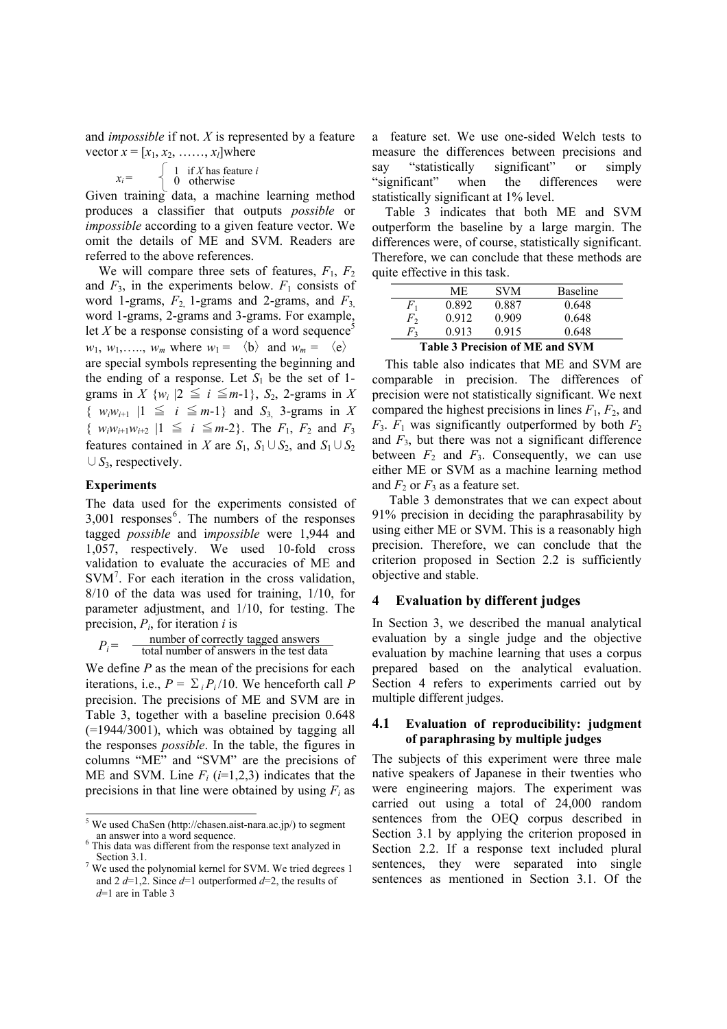and *impossible* if not. *X* is represented by a feature vector  $x = [x_1, x_2, \dots, x_l]$  where

$$
= \begin{cases} 1 & \text{if } X \text{ has feature } i \\ 0 & \text{otherwise} \end{cases}
$$

Given training data, a machine learning method produces a classifier that outputs *possible* or *impossible* according to a given feature vector. We omit the details of ME and SVM. Readers are referred to the above references.

We will compare three sets of features,  $F_1$ ,  $F_2$ and  $F_3$ , in the experiments below.  $F_1$  consists of word 1-grams, *F*2, 1-grams and 2-grams, and *F*3, word 1-grams, 2-grams and 3-grams. For example, let *X* be a response consisting of a word sequence<sup>5</sup>  $w_1, w_1, \ldots, w_m$  where  $w_1 = \langle b \rangle$  and  $w_m = \langle e \rangle$ are special symbols representing the beginning and the ending of a response. Let  $S_1$  be the set of 1grams in *X*  $\{w_i | 2 \leq i \leq m-1\}$ , *S*<sub>2</sub>, 2-grams in *X* { *wiwi*+1 |1 ≦ *i* ≦*m*-1} and *S*3, 3-grams in *X*  $\{ w_i w_{i+1} w_{i+2} \mid 1 \leq i \leq m-2 \}.$  The  $F_1, F_2$  and  $F_3$ features contained in *X* are  $S_1$ ,  $S_1 \cup S_2$ , and  $S_1 \cup S_2$ ∪*S*3, respectively.

#### **Experiments**

*xi* =

The data used for the experiments consisted of  $3,001$  responses<sup>6</sup>. The numbers of the responses tagged *possible* and i*mpossible* were 1,944 and 1,057, respectively. We used 10-fold cross validation to evaluate the accuracies of ME and SVM<sup>7</sup>. For each iteration in the cross validation, 8/10 of the data was used for training, 1/10, for parameter adjustment, and 1/10, for testing. The precision, *Pi*, for iteration *i* is

 $P_i$  =  $\frac{$  -  $\frac{1}{2}$  -  $\frac{1}{2}$  total number of answers in the test data number of correctly tagged answers

We define *P* as the mean of the precisions for each iterations, i.e.,  $P = \sum_{i} P_i/10$ . We henceforth call P precision. The precisions of ME and SVM are in Table 3, together with a baseline precision 0.648 (=1944/3001), which was obtained by tagging all the responses *possible*. In the table, the figures in columns "ME" and "SVM" are the precisions of ME and SVM. Line  $F_i$  ( $i=1,2,3$ ) indicates that the precisions in that line were obtained by using  $F_i$  as a feature set. We use one-sided Welch tests to measure the differences between precisions and say "statistically significant" or simply "significant" when the differences were statistically significant at 1% level.

Table 3 indicates that both ME and SVM outperform the baseline by a large margin. The differences were, of course, statistically significant. Therefore, we can conclude that these methods are quite effective in this task.

|             | ME                              | <b>SVM</b> | <b>Baseline</b> |  |  |
|-------------|---------------------------------|------------|-----------------|--|--|
| F1          | 0.892                           | 0.887      | 0.648           |  |  |
| F,          | 0.912                           | 0.909      | 0.648           |  |  |
| $F_{\rm 2}$ | 0.913                           | 0.915      | 0.648           |  |  |
|             | Toble 3 Decoision of MF and CVM |            |                 |  |  |

**Table 3 Precision of ME and SVM** 

This table also indicates that ME and SVM are comparable in precision. The differences of precision were not statistically significant. We next compared the highest precisions in lines  $F_1$ ,  $F_2$ , and  $F_3$ .  $F_1$  was significantly outperformed by both  $F_2$ and  $F_3$ , but there was not a significant difference between  $F_2$  and  $F_3$ . Consequently, we can use either ME or SVM as a machine learning method and  $F_2$  or  $F_3$  as a feature set.

Table 3 demonstrates that we can expect about 91% precision in deciding the paraphrasability by using either ME or SVM. This is a reasonably high precision. Therefore, we can conclude that the criterion proposed in Section 2.2 is sufficiently objective and stable.

#### **4 Evaluation by different judges**

In Section 3, we described the manual analytical evaluation by a single judge and the objective evaluation by machine learning that uses a corpus prepared based on the analytical evaluation. Section 4 refers to experiments carried out by multiple different judges.

#### **4.1 Evaluation of reproducibility: judgment of paraphrasing by multiple judges**

The subjects of this experiment were three male native speakers of Japanese in their twenties who were engineering majors. The experiment was carried out using a total of 24,000 random sentences from the OEQ corpus described in Section 3.1 by applying the criterion proposed in Section 2.2. If a response text included plural sentences, they were separated into single sentences as mentioned in Section 3.1. Of the

 5 We used ChaSen (http://chasen.aist-nara.ac.jp/) to segment an answer into a word sequence.

<sup>&</sup>lt;sup>6</sup> This data was different from the response text analyzed in Section 3.1.

 $\frac{7}{1}$  We used the polynomial kernel for SVM. We tried degrees 1 and 2 *d*=1,2. Since *d*=1 outperformed *d*=2, the results of *d*=1 are in Table 3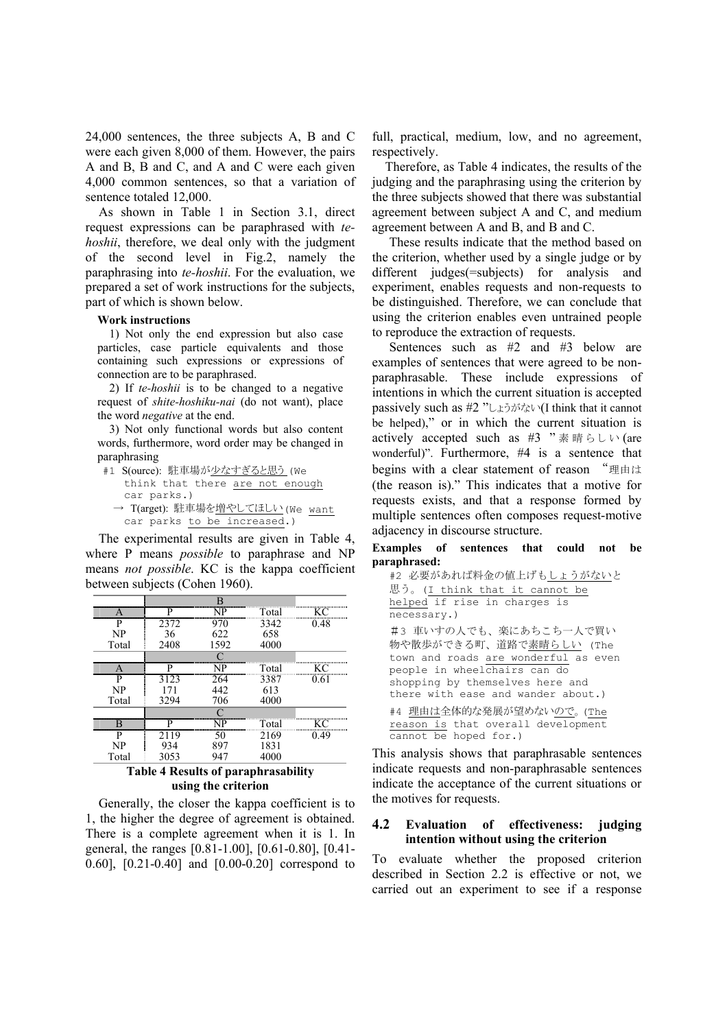24,000 sentences, the three subjects A, B and C were each given 8,000 of them. However, the pairs A and B, B and C, and A and C were each given 4,000 common sentences, so that a variation of sentence totaled 12,000.

As shown in Table 1 in Section 3.1, direct request expressions can be paraphrased with *tehoshii*, therefore, we deal only with the judgment of the second level in Fig.2, namely the paraphrasing into *te-hoshii*. For the evaluation, we prepared a set of work instructions for the subjects, part of which is shown below.

#### **Work instructions**

1) Not only the end expression but also case particles, case particle equivalents and those containing such expressions or expressions of connection are to be paraphrased.

2) If *te-hoshii* is to be changed to a negative request of *shite-hoshiku-nai* (do not want), place the word *negative* at the end.

3) Not only functional words but also content words, furthermore, word order may be changed in paraphrasing

#1 S(ource): 駐車場が少なすぎると思う (We think that there are not enough car parks.) → T(arget): 駐車場を増やしてほしい(We want car parks to be increased.)

The experimental results are given in Table 4, where P means *possible* to paraphrase and NP means *not possible*. KC is the kappa coefficient between subjects (Cohen 1960).

| А     | P    | NP   | Total                                      | КC   |
|-------|------|------|--------------------------------------------|------|
| P     | 2372 | 970  | 3342                                       | 0.48 |
| NP    | 36   | 622  | 658                                        |      |
| Total | 2408 | 1592 | 4000                                       |      |
|       |      |      |                                            |      |
|       |      | NP   | Total                                      | ĸσ   |
| р     | 3123 | 264  | 3387                                       | 0.61 |
| NP    | 171  | 442  | 613                                        |      |
| Total | 3294 | 706  | 4000                                       |      |
|       |      | ◠    |                                            |      |
|       |      | NP   | Total                                      | ĸΓ   |
|       | 2119 | 50   | 2169                                       | 0.49 |
| NP    | 934  | 897  | 1831                                       |      |
| Total | 3053 | 947  | 4000                                       |      |
|       |      |      | <b>Table 4 Results of paraphrasability</b> |      |

**using the criterion** 

Generally, the closer the kappa coefficient is to 1, the higher the degree of agreement is obtained. There is a complete agreement when it is 1. In general, the ranges [0.81-1.00], [0.61-0.80], [0.41- 0.60], [0.21-0.40] and [0.00-0.20] correspond to

full, practical, medium, low, and no agreement, respectively.

Therefore, as Table 4 indicates, the results of the judging and the paraphrasing using the criterion by the three subjects showed that there was substantial agreement between subject A and C, and medium agreement between A and B, and B and C.

These results indicate that the method based on the criterion, whether used by a single judge or by different judges(=subjects) for analysis and experiment, enables requests and non-requests to be distinguished. Therefore, we can conclude that using the criterion enables even untrained people to reproduce the extraction of requests.

Sentences such as #2 and #3 below are examples of sentences that were agreed to be nonparaphrasable. These include expressions of intentions in which the current situation is accepted passively such as #2 "しょうがない(I think that it cannot be helped)," or in which the current situation is actively accepted such as #3 "素晴らしい (are wonderful)". Furthermore, #4 is a sentence that begins with a clear statement of reason "理由は (the reason is)." This indicates that a motive for requests exists, and that a response formed by multiple sentences often composes request-motive adjacency in discourse structure.

#### **Examples of sentences that could not be paraphrased:**

```
#2 必要があれば料金の値上げもしょうがないと
思う。(I think that it cannot be 
helped if rise in charges is 
necessary.) 
#3 車いすの人でも、楽にあちこち一人で買い
物や散歩ができる町、道路で素晴らしい (The 
town and roads are wonderful as even 
people in wheelchairs can do 
shopping by themselves here and 
there with ease and wander about.) 
#4 理由は全体的な発展が望めないので。(The 
reason is that overall development 
cannot be hoped for.)
```
This analysis shows that paraphrasable sentences indicate requests and non-paraphrasable sentences indicate the acceptance of the current situations or the motives for requests.

#### **4.2 Evaluation of effectiveness: judging intention without using the criterion**

To evaluate whether the proposed criterion described in Section 2.2 is effective or not, we carried out an experiment to see if a response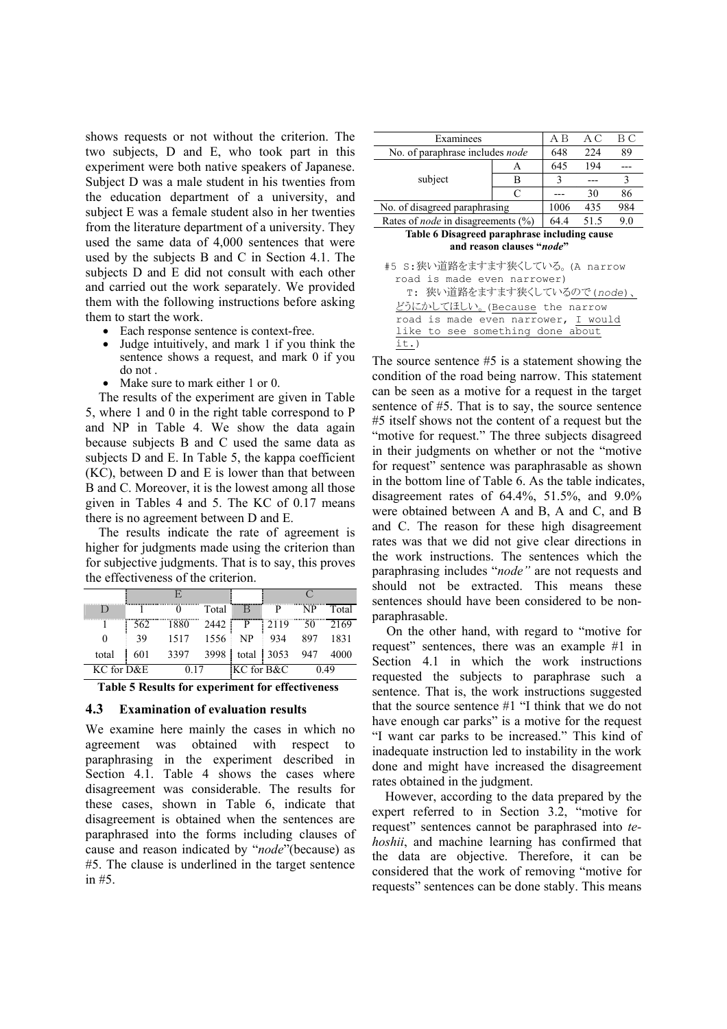shows requests or not without the criterion. The two subjects, D and E, who took part in this experiment were both native speakers of Japanese. Subject D was a male student in his twenties from the education department of a university, and subject E was a female student also in her twenties from the literature department of a university. They used the same data of 4,000 sentences that were used by the subjects B and C in Section 4.1. The subjects D and E did not consult with each other and carried out the work separately. We provided them with the following instructions before asking them to start the work.

- Each response sentence is context-free.
- Judge intuitively, and mark 1 if you think the sentence shows a request, and mark 0 if you do not .
- Make sure to mark either 1 or 0.

The results of the experiment are given in Table 5, where 1 and 0 in the right table correspond to P and NP in Table 4. We show the data again because subjects B and C used the same data as subjects D and E. In Table 5, the kappa coefficient (KC), between D and E is lower than that between B and C. Moreover, it is the lowest among all those given in Tables 4 and 5. The KC of 0.17 means there is no agreement between D and E.

The results indicate the rate of agreement is higher for judgments made using the criterion than for subjective judgments. That is to say, this proves the effectiveness of the criterion.

|            |     |      | Total | В          |      | NP  | Fotal |
|------------|-----|------|-------|------------|------|-----|-------|
|            | 562 |      | 2442  | P          | 2119 | 50  | 2169  |
|            | 39  | 1517 | 1556  | <b>NP</b>  | 934  | 897 | 1831  |
| total      | 601 | 3397 | 3998  | total      | 3053 | 947 |       |
| KC for D&E |     |      |       | KC for B&C |      |     | 49    |

**Table 5 Results for experiment for effectiveness**

#### **4.3 Examination of evaluation results**

We examine here mainly the cases in which no agreement was obtained with respect to paraphrasing in the experiment described in Section 4.1. Table 4 shows the cases where disagreement was considerable. The results for these cases, shown in Table 6, indicate that disagreement is obtained when the sentences are paraphrased into the forms including clauses of cause and reason indicated by "*node*"(because) as #5. The clause is underlined in the target sentence in #5.

| Examinees                                 | A B  | A C  | ВC  |    |
|-------------------------------------------|------|------|-----|----|
| No. of paraphrase includes node           | 648  | 224  | 89  |    |
|                                           |      | 645  | 194 |    |
| subject                                   | в    |      |     |    |
|                                           |      |      | 30  | 86 |
| No. of disagreed paraphrasing             | 1006 | 435  | 984 |    |
| Rates of <i>node</i> in disagreements (%) | 64 4 | 51.5 | 9.0 |    |

**Table 6 Disagreed paraphrase including cause and reason clauses "***node***"** 

| #5 S:狭い道路をますます狭くしている。(A narrow         |
|----------------------------------------|
| road is made even narrower)            |
| T: 狭い道路をますます狭くしているので(node)、            |
| どうにか <u>してほしい。</u> (Because the narrow |
| road is made even narrower, I would    |
| like to see something done about       |
| it.)                                   |

The source sentence #5 is a statement showing the condition of the road being narrow. This statement can be seen as a motive for a request in the target sentence of #5. That is to say, the source sentence #5 itself shows not the content of a request but the "motive for request." The three subjects disagreed in their judgments on whether or not the "motive for request" sentence was paraphrasable as shown in the bottom line of Table 6. As the table indicates, disagreement rates of 64.4%, 51.5%, and 9.0% were obtained between A and B, A and C, and B and C. The reason for these high disagreement rates was that we did not give clear directions in the work instructions. The sentences which the paraphrasing includes "*node"* are not requests and should not be extracted. This means these sentences should have been considered to be nonparaphrasable.

On the other hand, with regard to "motive for request" sentences, there was an example #1 in Section 4.1 in which the work instructions requested the subjects to paraphrase such a sentence. That is, the work instructions suggested that the source sentence #1 "I think that we do not have enough car parks" is a motive for the request "I want car parks to be increased." This kind of inadequate instruction led to instability in the work done and might have increased the disagreement rates obtained in the judgment.

However, according to the data prepared by the expert referred to in Section 3.2, "motive for request" sentences cannot be paraphrased into *tehoshii*, and machine learning has confirmed that the data are objective. Therefore, it can be considered that the work of removing "motive for requests" sentences can be done stably. This means